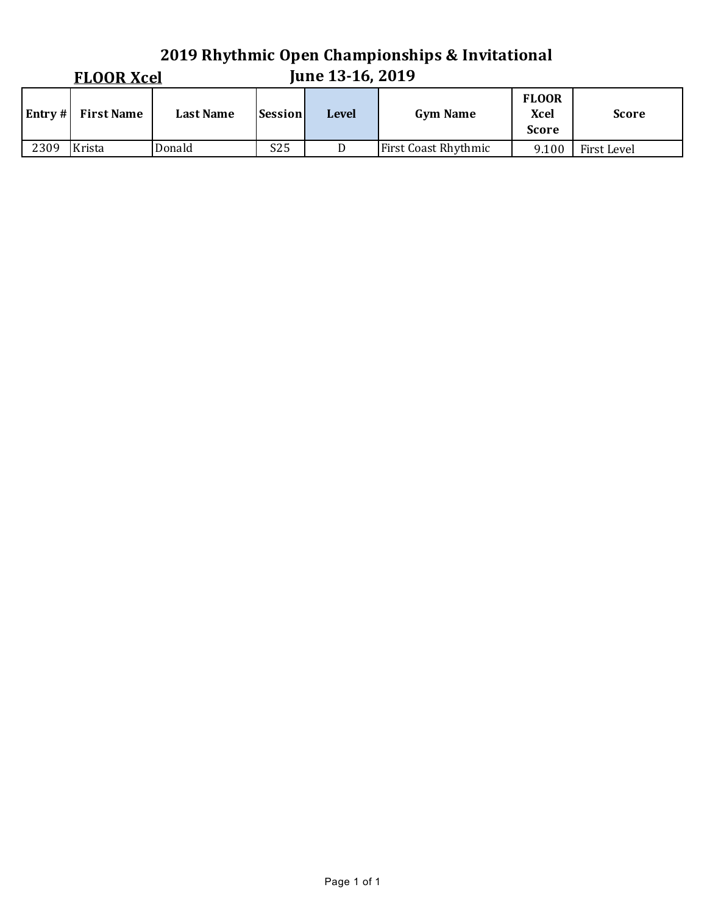#### **2019 Rhythmic Open Championships & Invitational June 13-16, 2019 FLOOR Xcel Entry** # **First Name Last Name Session Level Gym Name FLOOR Xcel Score Score** 2309 Krista Donald S25 D First Coast Rhythmic 9.100 First Level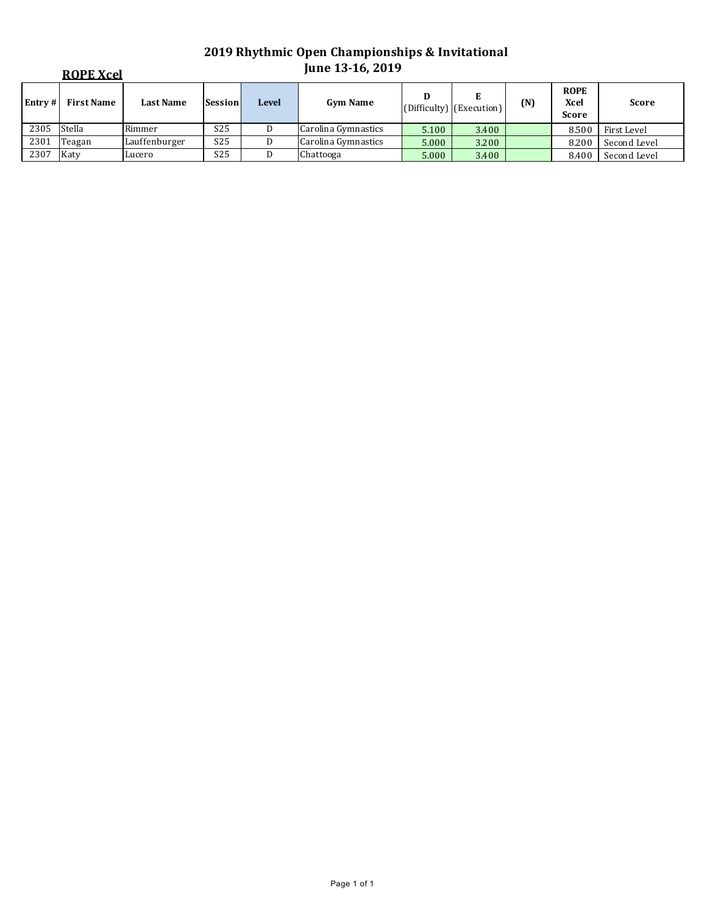|         | <b>ROPE Xcel</b>  |                  |                 |              | June 13-16, 2019    |       |                          |     |                                            |              |  |  |
|---------|-------------------|------------------|-----------------|--------------|---------------------|-------|--------------------------|-----|--------------------------------------------|--------------|--|--|
| Entry # | <b>First Name</b> | <b>Last Name</b> | <b>Session</b>  | <b>Level</b> | <b>Gym Name</b>     | D     | (Difficulty) (Execution) | (N) | <b>ROPE</b><br><b>Xcel</b><br><b>Score</b> | <b>Score</b> |  |  |
| 2305    | Stella            | Rimmer           | S <sub>25</sub> |              | Carolina Gymnastics | 5.100 | 3.400                    |     | 8.500                                      | First Level  |  |  |
| 2301    | Teagan            | Lauffenburger    | S <sub>25</sub> |              | Carolina Gymnastics | 5.000 | 3.200                    |     | 8.200                                      | Second Level |  |  |
| 2307    | Katy              | Lucero           | S <sub>25</sub> |              | Chattooga           | 5.000 | 3.400                    |     | 8.400                                      | Second Level |  |  |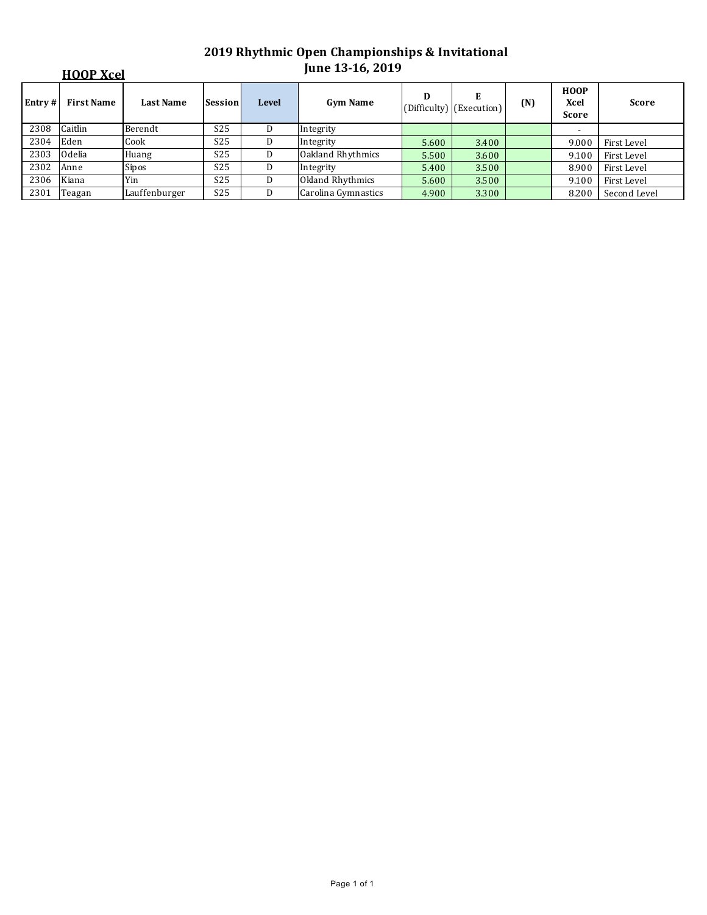| <b>HOOP Xcel</b> |                   |                  |                 |              | <b>June 13-16, 2019</b> |       |                               |     |                                     |              |  |
|------------------|-------------------|------------------|-----------------|--------------|-------------------------|-------|-------------------------------|-----|-------------------------------------|--------------|--|
| Entry #          | <b>First Name</b> | <b>Last Name</b> | <b>Session</b>  | <b>Level</b> | <b>Gym Name</b>         | D     | E<br>(Difficulty) (Execution) | (N) | <b>HOOP</b><br>Xcel<br><b>Score</b> | <b>Score</b> |  |
| 2308             | Caitlin           | Berendt          | S <sub>25</sub> | D            | Integrity               |       |                               |     |                                     |              |  |
| 2304             | Eden              | Cook             | S <sub>25</sub> | D            | Integrity               | 5.600 | 3.400                         |     | 9.000                               | First Level  |  |
| 2303             | Odelia            | Huang            | S <sub>25</sub> | D            | Oakland Rhythmics       | 5.500 | 3.600                         |     | 9.100                               | First Level  |  |
| 2302             | Anne              | Sipos            | S <sub>25</sub> | D            | Integrity               | 5.400 | 3.500                         |     | 8.900                               | First Level  |  |
| 2306             | Kiana             | Yin              | S <sub>25</sub> | D            | Okland Rhythmics        | 5.600 | 3.500                         |     | 9.100                               | First Level  |  |
| 2301             | Teagan            | Lauffenburger    | S <sub>25</sub> | D            | Carolina Gymnastics     | 4.900 | 3.300                         |     | 8.200                               | Second Level |  |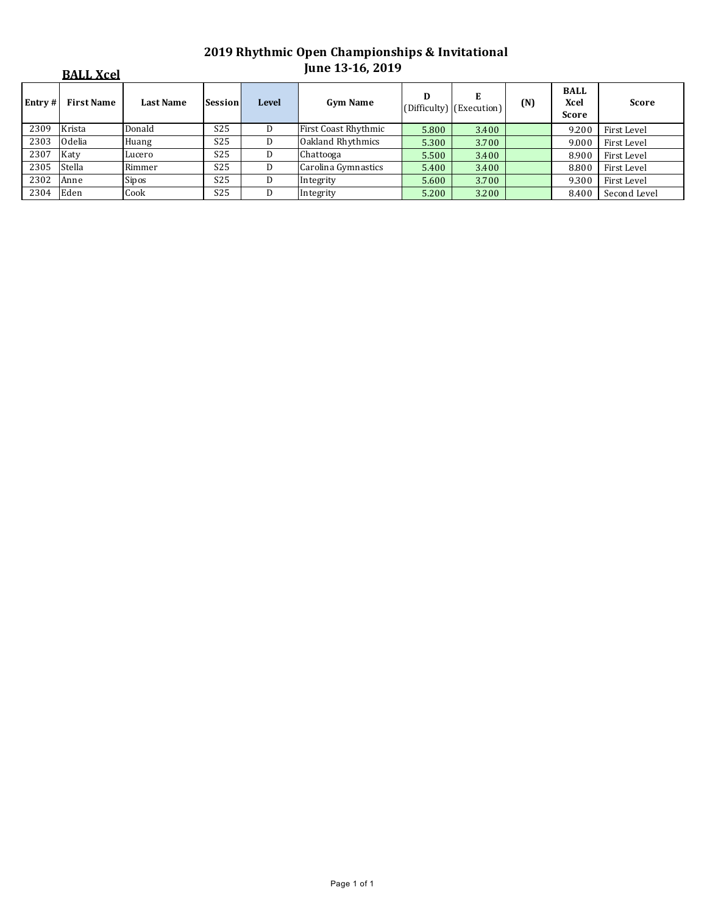|         | <b>BALL Xcel</b>  |                  |                 |              | <b>June 13-16, 2019</b> |       |                               |     |                                            |              |
|---------|-------------------|------------------|-----------------|--------------|-------------------------|-------|-------------------------------|-----|--------------------------------------------|--------------|
| Entry # | <b>First Name</b> | <b>Last Name</b> | Session         | <b>Level</b> | <b>Gym Name</b>         | D     | E<br>(Difficulty) (Execution) | (N) | <b>BALL</b><br><b>Xcel</b><br><b>Score</b> | <b>Score</b> |
| 2309    | Krista            | Donald           | S <sub>25</sub> | D            | First Coast Rhythmic    | 5.800 | 3.400                         |     | 9.200                                      | First Level  |
| 2303    | Odelia            | Huang            | S <sub>25</sub> | D            | Oakland Rhythmics       | 5.300 | 3.700                         |     | 9.000                                      | First Level  |
| 2307    | Katy              | Lucero           | S <sub>25</sub> | D            | Chattooga               | 5.500 | 3.400                         |     | 8.900                                      | First Level  |
| 2305    | Stella            | Rimmer           | S <sub>25</sub> | D            | Carolina Gymnastics     | 5.400 | 3.400                         |     | 8.800                                      | First Level  |
| 2302    | Anne              | <b>Sipos</b>     | S <sub>25</sub> |              | Integrity               | 5.600 | 3.700                         |     | 9.300                                      | First Level  |
| 2304    | Eden              | Cook             | S <sub>25</sub> | D            | Integrity               | 5.200 | 3.200                         |     | 8.400                                      | Second Level |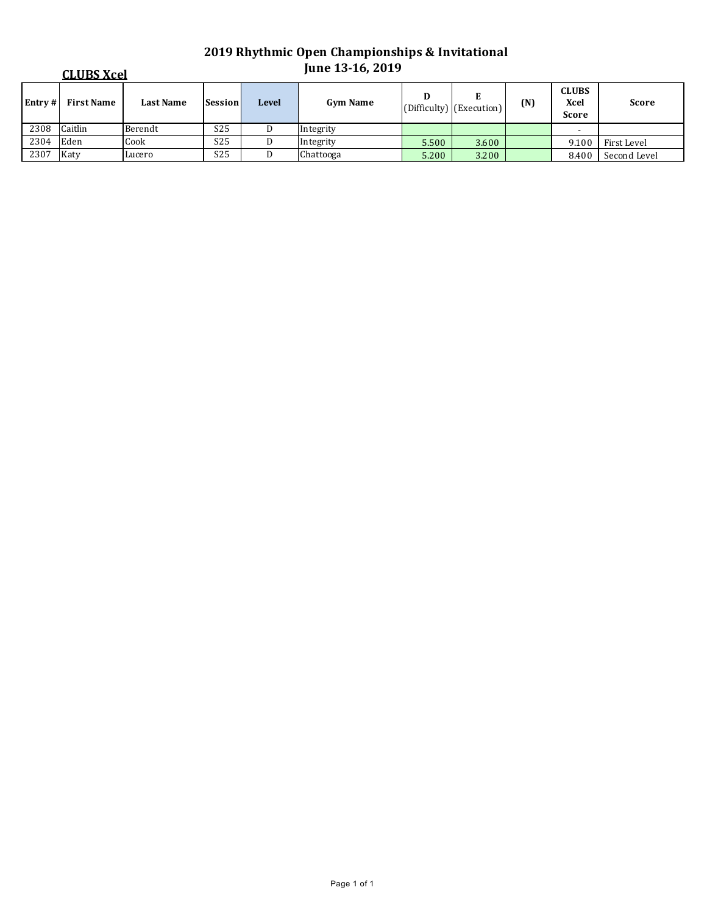| <b>CLUBS Xcel</b> |                   |                  |                 |       | <b>June 13-16, 2019</b> |       |                                           |     |                                      |              |  |
|-------------------|-------------------|------------------|-----------------|-------|-------------------------|-------|-------------------------------------------|-----|--------------------------------------|--------------|--|
| Entry#            | <b>First Name</b> | <b>Last Name</b> | Session         | Level | <b>Gym Name</b>         | D     | E<br>$ $ (Difficulty) $ $ (Execution) $ $ | (N) | <b>CLUBS</b><br>Xcel<br><b>Score</b> | <b>Score</b> |  |
| 2308              | Caitlin           | Berendt          | S <sub>25</sub> |       | Integrity               |       |                                           |     |                                      |              |  |
| 2304              | Eden              | Cook             | S <sub>25</sub> |       | Integrity               | 5.500 | 3.600                                     |     | 9.100                                | First Level  |  |
| 2307              | Katy              | Lucero           | S <sub>25</sub> |       | Chattooga               | 5.200 | 3.200                                     |     | 8.400                                | Second Level |  |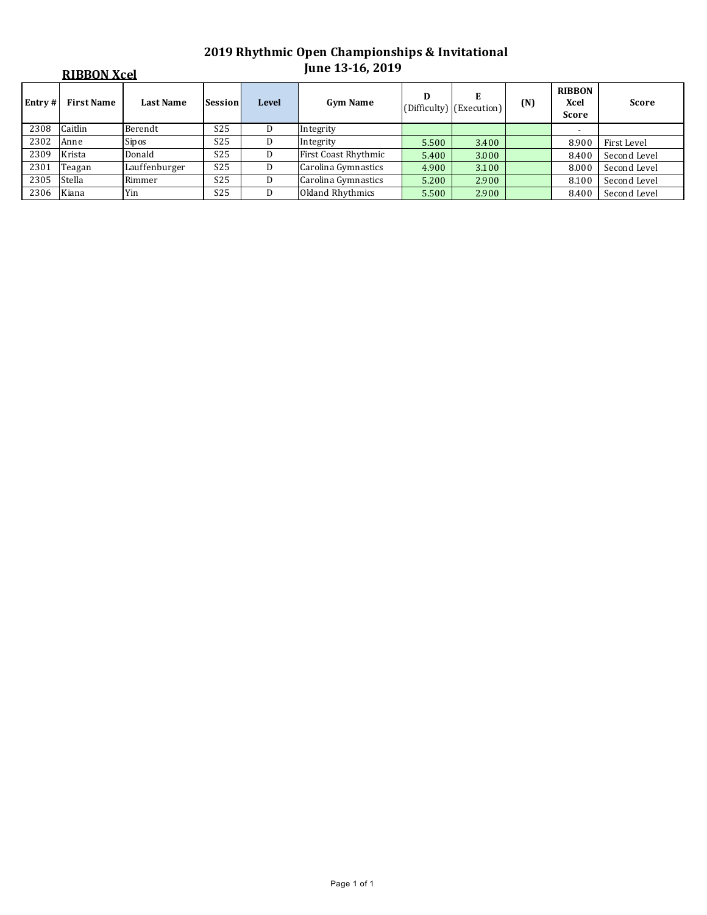|        | <b>RIBBON Xcel</b> | <b>June 13-16, 2019</b> |                 |              |                      |       |                               |     |                                |              |
|--------|--------------------|-------------------------|-----------------|--------------|----------------------|-------|-------------------------------|-----|--------------------------------|--------------|
| Entry# | <b>First Name</b>  | <b>Last Name</b>        | <b>Session</b>  | <b>Level</b> | <b>Gym Name</b>      | D     | E<br>(Difficulty) (Execution) | (N) | <b>RIBBON</b><br>Xcel<br>Score | <b>Score</b> |
| 2308   | Caitlin            | Berendt                 | S <sub>25</sub> | D            | Integrity            |       |                               |     | $\overline{\phantom{a}}$       |              |
| 2302   | Anne               | Sipos                   | S <sub>25</sub> | D.           | Integrity            | 5.500 | 3.400                         |     | 8.900                          | First Level  |
| 2309   | Krista             | Donald                  | S <sub>25</sub> | D            | First Coast Rhythmic | 5.400 | 3.000                         |     | 8.400                          | Second Level |
| 2301   | Teagan             | Lauffenburger           | S <sub>25</sub> | D            | Carolina Gymnastics  | 4.900 | 3.100                         |     | 8.000                          | Second Level |
| 2305   | Stella             | Rimmer                  | S <sub>25</sub> | D            | Carolina Gymnastics  | 5.200 | 2.900                         |     | 8.100                          | Second Level |
| 2306   | Kiana              | Yin                     | S <sub>25</sub> | D            | Okland Rhythmics     | 5.500 | 2.900                         |     | 8.400                          | Second Level |